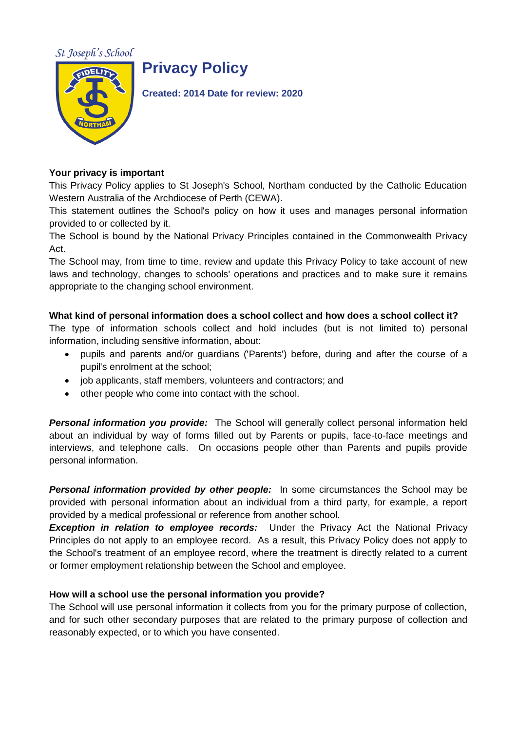St Joseph's School



# **Privacy Policy**

**Created: 2014 Date for review: 2020**

## **Your privacy is important**

This Privacy Policy applies to St Joseph's School, Northam conducted by the Catholic Education Western Australia of the Archdiocese of Perth (CEWA).

This statement outlines the School's policy on how it uses and manages personal information provided to or collected by it.

The School is bound by the National Privacy Principles contained in the Commonwealth Privacy Act.

The School may, from time to time, review and update this Privacy Policy to take account of new laws and technology, changes to schools' operations and practices and to make sure it remains appropriate to the changing school environment.

# **What kind of personal information does a school collect and how does a school collect it?**

The type of information schools collect and hold includes (but is not limited to) personal information, including sensitive information, about:

- pupils and parents and/or guardians ('Parents') before, during and after the course of a pupil's enrolment at the school;
- job applicants, staff members, volunteers and contractors; and
- other people who come into contact with the school.

**Personal information you provide:** The School will generally collect personal information held about an individual by way of forms filled out by Parents or pupils, face-to-face meetings and interviews, and telephone calls. On occasions people other than Parents and pupils provide personal information.

**Personal information provided by other people:** In some circumstances the School may be provided with personal information about an individual from a third party, for example, a report provided by a medical professional or reference from another school.

**Exception in relation to employee records:** Under the Privacy Act the National Privacy Principles do not apply to an employee record. As a result, this Privacy Policy does not apply to the School's treatment of an employee record, where the treatment is directly related to a current or former employment relationship between the School and employee.

# **How will a school use the personal information you provide?**

The School will use personal information it collects from you for the primary purpose of collection, and for such other secondary purposes that are related to the primary purpose of collection and reasonably expected, or to which you have consented.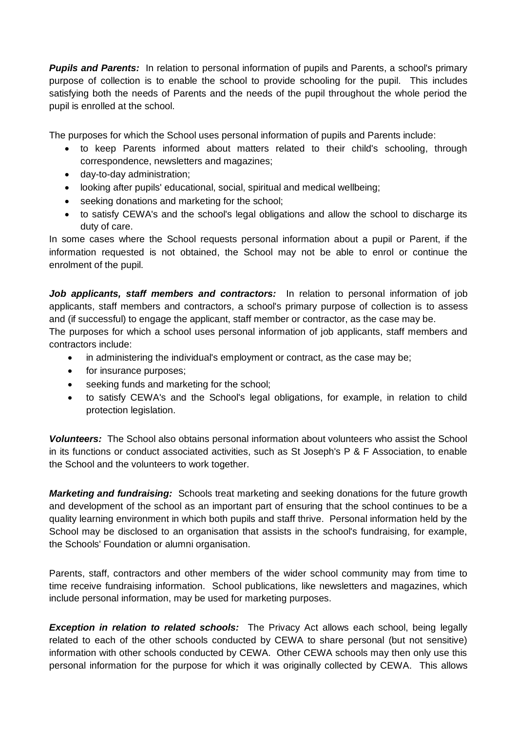**Pupils and Parents:** In relation to personal information of pupils and Parents, a school's primary purpose of collection is to enable the school to provide schooling for the pupil. This includes satisfying both the needs of Parents and the needs of the pupil throughout the whole period the pupil is enrolled at the school.

The purposes for which the School uses personal information of pupils and Parents include:

- to keep Parents informed about matters related to their child's schooling, through correspondence, newsletters and magazines;
- day-to-day administration;
- looking after pupils' educational, social, spiritual and medical wellbeing;
- seeking donations and marketing for the school;
- to satisfy CEWA's and the school's legal obligations and allow the school to discharge its duty of care.

In some cases where the School requests personal information about a pupil or Parent, if the information requested is not obtained, the School may not be able to enrol or continue the enrolment of the pupil.

Job applicants, staff members and contractors: In relation to personal information of job applicants, staff members and contractors, a school's primary purpose of collection is to assess and (if successful) to engage the applicant, staff member or contractor, as the case may be.

The purposes for which a school uses personal information of job applicants, staff members and contractors include:

- in administering the individual's employment or contract, as the case may be;
- for insurance purposes;
- seeking funds and marketing for the school;
- to satisfy CEWA's and the School's legal obligations, for example, in relation to child protection legislation.

*Volunteers:* The School also obtains personal information about volunteers who assist the School in its functions or conduct associated activities, such as St Joseph's P & F Association, to enable the School and the volunteers to work together.

*Marketing and fundraising:* Schools treat marketing and seeking donations for the future growth and development of the school as an important part of ensuring that the school continues to be a quality learning environment in which both pupils and staff thrive. Personal information held by the School may be disclosed to an organisation that assists in the school's fundraising, for example, the Schools' Foundation or alumni organisation.

Parents, staff, contractors and other members of the wider school community may from time to time receive fundraising information. School publications, like newsletters and magazines, which include personal information, may be used for marketing purposes.

**Exception in relation to related schools:** The Privacy Act allows each school, being legally related to each of the other schools conducted by CEWA to share personal (but not sensitive) information with other schools conducted by CEWA. Other CEWA schools may then only use this personal information for the purpose for which it was originally collected by CEWA. This allows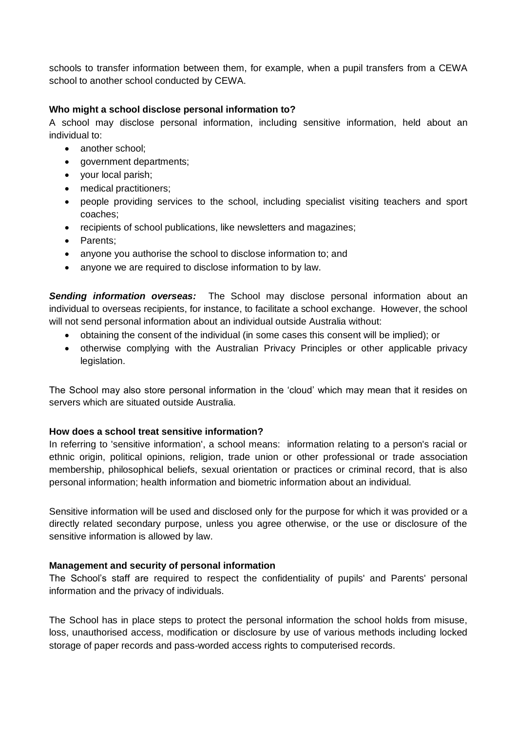schools to transfer information between them, for example, when a pupil transfers from a CEWA school to another school conducted by CEWA.

## **Who might a school disclose personal information to?**

A school may disclose personal information, including sensitive information, held about an individual to:

- another school;
- government departments;
- your local parish;
- medical practitioners;
- people providing services to the school, including specialist visiting teachers and sport coaches;
- recipients of school publications, like newsletters and magazines;
- Parents;
- anyone you authorise the school to disclose information to; and
- anyone we are required to disclose information to by law.

*Sending information overseas:* The School may disclose personal information about an individual to overseas recipients, for instance, to facilitate a school exchange. However, the school will not send personal information about an individual outside Australia without:

- obtaining the consent of the individual (in some cases this consent will be implied); or
- otherwise complying with the Australian Privacy Principles or other applicable privacy legislation.

The School may also store personal information in the 'cloud' which may mean that it resides on servers which are situated outside Australia.

### **How does a school treat sensitive information?**

In referring to 'sensitive information', a school means: information relating to a person's racial or ethnic origin, political opinions, religion, trade union or other professional or trade association membership, philosophical beliefs, sexual orientation or practices or criminal record, that is also personal information; health information and biometric information about an individual.

Sensitive information will be used and disclosed only for the purpose for which it was provided or a directly related secondary purpose, unless you agree otherwise, or the use or disclosure of the sensitive information is allowed by law.

### **Management and security of personal information**

The School's staff are required to respect the confidentiality of pupils' and Parents' personal information and the privacy of individuals.

The School has in place steps to protect the personal information the school holds from misuse, loss, unauthorised access, modification or disclosure by use of various methods including locked storage of paper records and pass-worded access rights to computerised records.